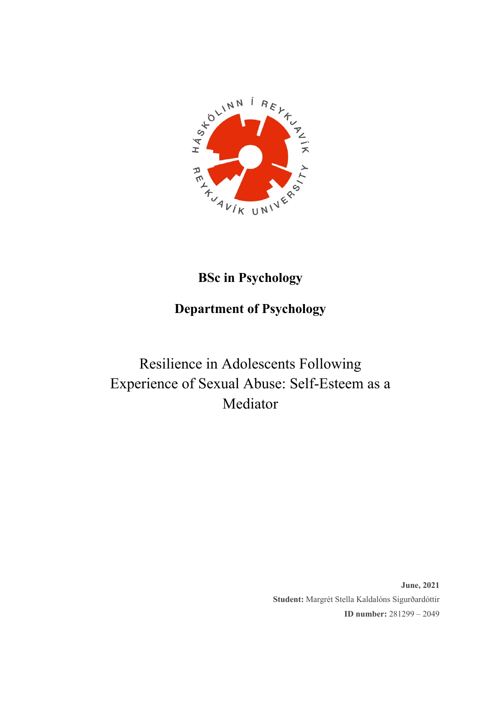

## **BSc in Psychology**

## **Department of Psychology**

# Resilience in Adolescents Following Experience of Sexual Abuse: Self-Esteem as a Mediator

**June, 2021 Student:** Margrét Stella Kaldalóns Sigurðardóttir **ID number:** 281299 – 2049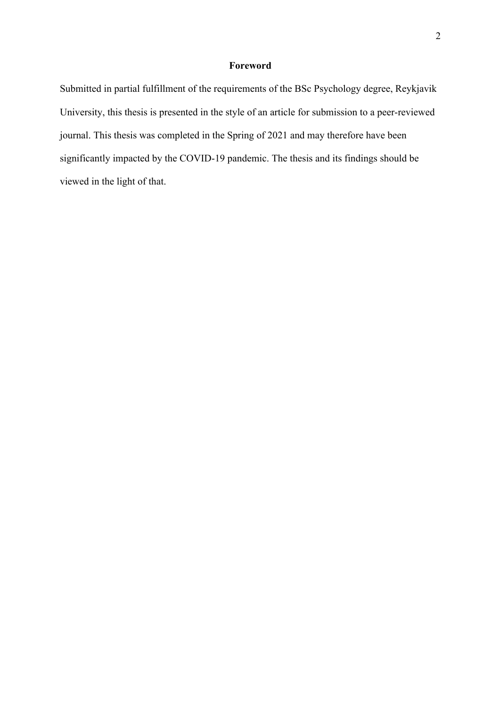### **Foreword**

Submitted in partial fulfillment of the requirements of the BSc Psychology degree, Reykjavik University, this thesis is presented in the style of an article for submission to a peer-reviewed journal. This thesis was completed in the Spring of 2021 and may therefore have been significantly impacted by the COVID-19 pandemic. The thesis and its findings should be viewed in the light of that.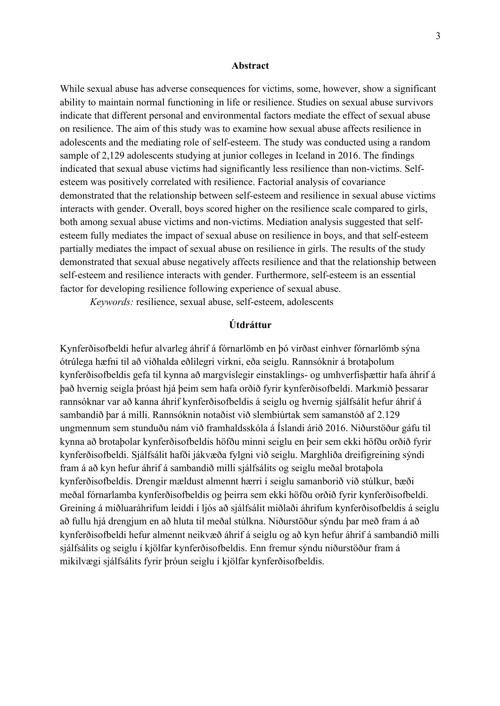#### **Abstract**

While sexual abuse has adverse consequences for victims, some, however, show a significant ability to maintain normal functioning in life or resilience. Studies on sexual abuse survivors indicate that different personal and environmental factors mediate the effect of sexual abuse on resilience. The aim of this study was to examine how sexual abuse affects resilience in adolescents and the mediating role of self-esteem. The study was conducted using a random sample of 2,129 adolescents studying at junior colleges in Iceland in 2016. The findings indicated that sexual abuse victims had significantly less resilience than non-victims. Selfesteem was positively correlated with resilience. Factorial analysis of covariance demonstrated that the relationship between self-esteem and resilience in sexual abuse victims interacts with gender. Overall, boys scored higher on the resilience scale compared to girls, both among sexual abuse victims and non-victims. Mediation analysis suggested that selfesteem fully mediates the impact of sexual abuse on resilience in boys, and that self-esteem partially mediates the impact of sexual abuse on resilience in girls. The results of the study demonstrated that sexual abuse negatively affects resilience and that the relationship between self-esteem and resilience interacts with gender. Furthermore, self-esteem is an essential factor for developing resilience following experience of sexual abuse.

*Keywords:* resilience, sexual abuse, self-esteem, adolescents

## **Útdráttur**

Kynferðisofbeldi hefur alvarleg áhrif á fórnarlömb en þó virðast einhver fórnarlömb sýna ótrúlega hæfni til að viðhalda eðlilegri virkni, eða seiglu. Rannsóknir á brotaþolum kynferðisofbeldis gefa til kynna að margvíslegir einstaklings- og umhverfisþættir hafa áhrif á það hvernig seigla þróast hjá þeim sem hafa orðið fyrir kynferðisofbeldi. Markmið þessarar rannsóknar var að kanna áhrif kynferðisofbeldis á seiglu og hvernig sjálfsálit hefur áhrif á sambandið þar á milli. Rannsóknin notaðist við slembiúrtak sem samanstóð af 2.129 ungmennum sem stunduðu nám við framhaldsskóla á Íslandi árið 2016. Niðurstöður gáfu til kynna að brotaþolar kynferðisofbeldis höfðu minni seiglu en þeir sem ekki höfðu orðið fyrir kynferðisofbeldi. Sjálfsálit hafði jákvæða fylgni við seiglu. Marghliða dreifigreining sýndi fram á að kyn hefur áhrif á sambandið milli sjálfsálits og seiglu meðal brotaþola kynferðisofbeldis. Drengir mældust almennt hærri í seiglu samanborið við stúlkur, bæði meðal fórnarlamba kynferðisofbeldis og þeirra sem ekki höfðu orðið fyrir kynferðisofbeldi. Greining á miðluaráhrifum leiddi í ljós að sjálfsálit miðlaði áhrifum kynferðisofbeldis á seiglu að fullu hjá drengjum en að hluta til meðal stúlkna. Niðurstöður sýndu þar með fram á að kynferðisofbeldi hefur almennt neikvæð áhrif á seiglu og að kyn hefur áhrif á sambandið milli sjálfsálits og seiglu í kjölfar kynferðisofbeldis. Enn fremur sýndu niðurstöður fram á mikilvægi sjálfsálits fyrir þróun seiglu í kjölfar kynferðisofbeldis.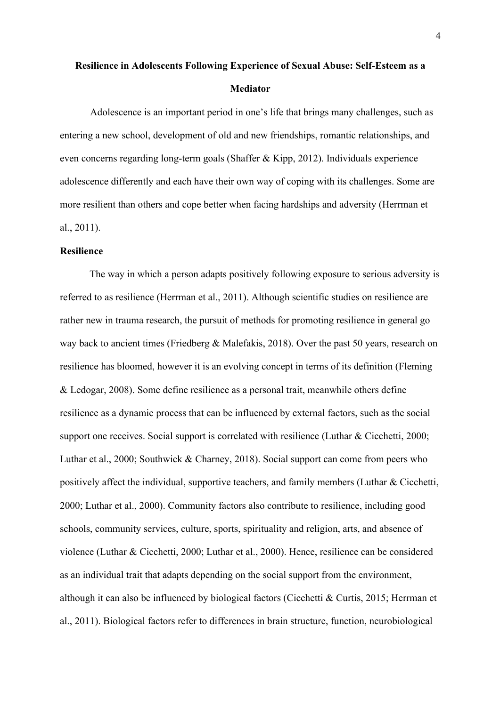## **Resilience in Adolescents Following Experience of Sexual Abuse: Self-Esteem as a Mediator**

Adolescence is an important period in one's life that brings many challenges, such as entering a new school, development of old and new friendships, romantic relationships, and even concerns regarding long-term goals (Shaffer & Kipp, 2012). Individuals experience adolescence differently and each have their own way of coping with its challenges. Some are more resilient than others and cope better when facing hardships and adversity (Herrman et al., 2011).

#### **Resilience**

The way in which a person adapts positively following exposure to serious adversity is referred to as resilience (Herrman et al., 2011). Although scientific studies on resilience are rather new in trauma research, the pursuit of methods for promoting resilience in general go way back to ancient times (Friedberg & Malefakis, 2018). Over the past 50 years, research on resilience has bloomed, however it is an evolving concept in terms of its definition (Fleming & Ledogar, 2008). Some define resilience as a personal trait, meanwhile others define resilience as a dynamic process that can be influenced by external factors, such as the social support one receives. Social support is correlated with resilience (Luthar & Cicchetti, 2000; Luthar et al., 2000; Southwick & Charney, 2018). Social support can come from peers who positively affect the individual, supportive teachers, and family members (Luthar & Cicchetti, 2000; Luthar et al., 2000). Community factors also contribute to resilience, including good schools, community services, culture, sports, spirituality and religion, arts, and absence of violence (Luthar & Cicchetti, 2000; Luthar et al., 2000). Hence, resilience can be considered as an individual trait that adapts depending on the social support from the environment, although it can also be influenced by biological factors (Cicchetti & Curtis, 2015; Herrman et al., 2011). Biological factors refer to differences in brain structure, function, neurobiological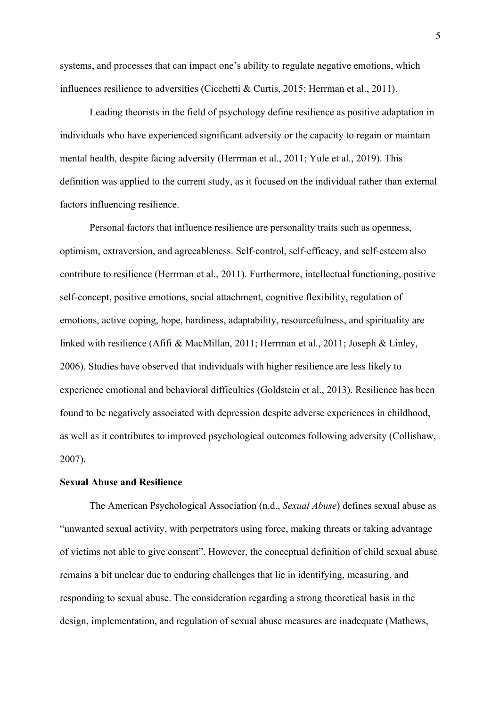systems, and processes that can impact one's ability to regulate negative emotions, which influences resilience to adversities (Cicchetti & Curtis, 2015; Herrman et al., 2011).

Leading theorists in the field of psychology define resilience as positive adaptation in individuals who have experienced significant adversity or the capacity to regain or maintain mental health, despite facing adversity (Herrman et al., 2011; Yule et al., 2019). This definition was applied to the current study, as it focused on the individual rather than external factors influencing resilience.

Personal factors that influence resilience are personality traits such as openness, optimism, extraversion, and agreeableness. Self-control, self-efficacy, and self-esteem also contribute to resilience (Herrman et al., 2011). Furthermore, intellectual functioning, positive self-concept, positive emotions, social attachment, cognitive flexibility, regulation of emotions, active coping, hope, hardiness, adaptability, resourcefulness, and spirituality are linked with resilience (Afifi & MacMillan, 2011; Herrman et al., 2011; Joseph & Linley, 2006). Studies have observed that individuals with higher resilience are less likely to experience emotional and behavioral difficulties (Goldstein et al., 2013). Resilience has been found to be negatively associated with depression despite adverse experiences in childhood, as well as it contributes to improved psychological outcomes following adversity (Collishaw, 2007).

## **Sexual Abuse and Resilience**

The American Psychological Association (n.d., *Sexual Abuse*) defines sexual abuse as "unwanted sexual activity, with perpetrators using force, making threats or taking advantage of victims not able to give consent". However, the conceptual definition of child sexual abuse remains a bit unclear due to enduring challenges that lie in identifying, measuring, and responding to sexual abuse. The consideration regarding a strong theoretical basis in the design, implementation, and regulation of sexual abuse measures are inadequate (Mathews,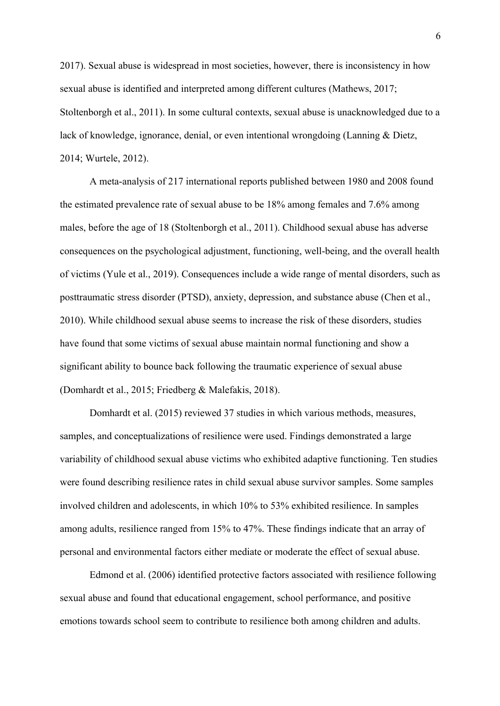2017). Sexual abuse is widespread in most societies, however, there is inconsistency in how sexual abuse is identified and interpreted among different cultures (Mathews, 2017; Stoltenborgh et al., 2011). In some cultural contexts, sexual abuse is unacknowledged due to a lack of knowledge, ignorance, denial, or even intentional wrongdoing (Lanning & Dietz, 2014; Wurtele, 2012).

A meta-analysis of 217 international reports published between 1980 and 2008 found the estimated prevalence rate of sexual abuse to be 18% among females and 7.6% among males, before the age of 18 (Stoltenborgh et al., 2011). Childhood sexual abuse has adverse consequences on the psychological adjustment, functioning, well-being, and the overall health of victims (Yule et al., 2019). Consequences include a wide range of mental disorders, such as posttraumatic stress disorder (PTSD), anxiety, depression, and substance abuse (Chen et al., 2010). While childhood sexual abuse seems to increase the risk of these disorders, studies have found that some victims of sexual abuse maintain normal functioning and show a significant ability to bounce back following the traumatic experience of sexual abuse (Domhardt et al., 2015; Friedberg & Malefakis, 2018).

Domhardt et al. (2015) reviewed 37 studies in which various methods, measures, samples, and conceptualizations of resilience were used. Findings demonstrated a large variability of childhood sexual abuse victims who exhibited adaptive functioning. Ten studies were found describing resilience rates in child sexual abuse survivor samples. Some samples involved children and adolescents, in which 10% to 53% exhibited resilience. In samples among adults, resilience ranged from 15% to 47%. These findings indicate that an array of personal and environmental factors either mediate or moderate the effect of sexual abuse.

Edmond et al. (2006) identified protective factors associated with resilience following sexual abuse and found that educational engagement, school performance, and positive emotions towards school seem to contribute to resilience both among children and adults.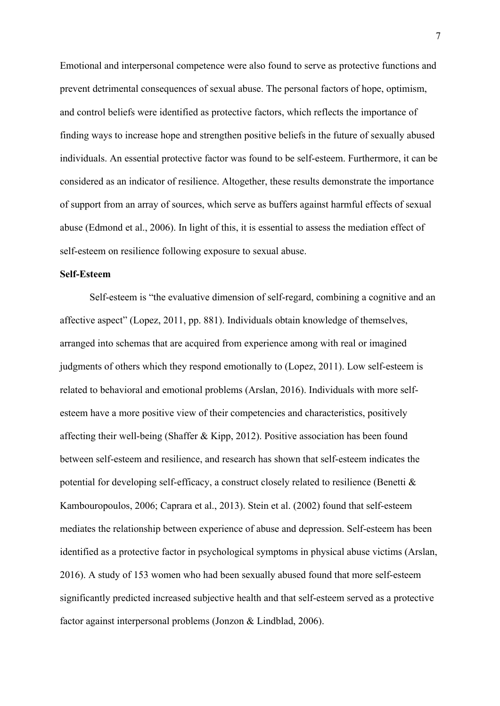Emotional and interpersonal competence were also found to serve as protective functions and prevent detrimental consequences of sexual abuse. The personal factors of hope, optimism, and control beliefs were identified as protective factors, which reflects the importance of finding ways to increase hope and strengthen positive beliefs in the future of sexually abused individuals. An essential protective factor was found to be self-esteem. Furthermore, it can be considered as an indicator of resilience. Altogether, these results demonstrate the importance of support from an array of sources, which serve as buffers against harmful effects of sexual abuse (Edmond et al., 2006). In light of this, it is essential to assess the mediation effect of self-esteem on resilience following exposure to sexual abuse.

## **Self-Esteem**

Self-esteem is "the evaluative dimension of self-regard, combining a cognitive and an affective aspect" (Lopez, 2011, pp. 881). Individuals obtain knowledge of themselves, arranged into schemas that are acquired from experience among with real or imagined judgments of others which they respond emotionally to (Lopez, 2011). Low self-esteem is related to behavioral and emotional problems (Arslan, 2016). Individuals with more selfesteem have a more positive view of their competencies and characteristics, positively affecting their well-being (Shaffer & Kipp, 2012). Positive association has been found between self-esteem and resilience, and research has shown that self-esteem indicates the potential for developing self-efficacy, a construct closely related to resilience (Benetti & Kambouropoulos, 2006; Caprara et al., 2013). Stein et al. (2002) found that self-esteem mediates the relationship between experience of abuse and depression. Self-esteem has been identified as a protective factor in psychological symptoms in physical abuse victims (Arslan, 2016). A study of 153 women who had been sexually abused found that more self-esteem significantly predicted increased subjective health and that self-esteem served as a protective factor against interpersonal problems (Jonzon & Lindblad, 2006).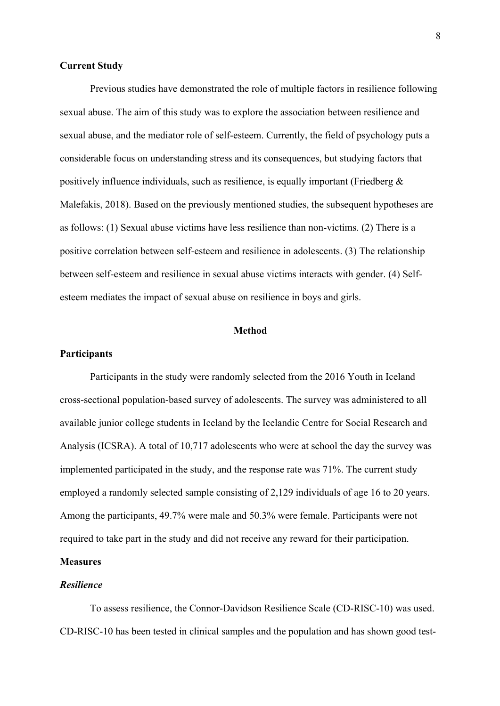#### **Current Study**

Previous studies have demonstrated the role of multiple factors in resilience following sexual abuse. The aim of this study was to explore the association between resilience and sexual abuse, and the mediator role of self-esteem. Currently, the field of psychology puts a considerable focus on understanding stress and its consequences, but studying factors that positively influence individuals, such as resilience, is equally important (Friedberg  $\&$ Malefakis, 2018). Based on the previously mentioned studies, the subsequent hypotheses are as follows: (1) Sexual abuse victims have less resilience than non-victims. (2) There is a positive correlation between self-esteem and resilience in adolescents. (3) The relationship between self-esteem and resilience in sexual abuse victims interacts with gender. (4) Selfesteem mediates the impact of sexual abuse on resilience in boys and girls.

#### **Method**

#### **Participants**

Participants in the study were randomly selected from the 2016 Youth in Iceland cross-sectional population-based survey of adolescents. The survey was administered to all available junior college students in Iceland by the Icelandic Centre for Social Research and Analysis (ICSRA). A total of 10,717 adolescents who were at school the day the survey was implemented participated in the study, and the response rate was 71%. The current study employed a randomly selected sample consisting of 2,129 individuals of age 16 to 20 years. Among the participants, 49.7% were male and 50.3% were female. Participants were not required to take part in the study and did not receive any reward for their participation.

## **Measures**

## *Resilience*

To assess resilience, the Connor-Davidson Resilience Scale (CD-RISC-10) was used. CD-RISC-10 has been tested in clinical samples and the population and has shown good test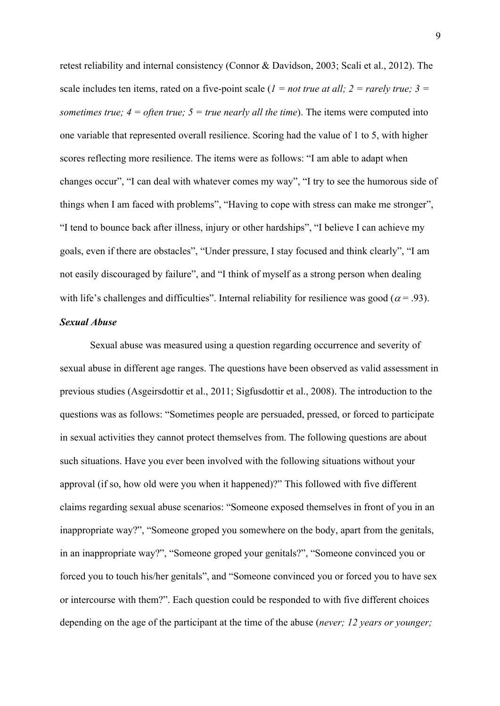retest reliability and internal consistency (Connor & Davidson, 2003; Scali et al., 2012). The scale includes ten items, rated on a five-point scale  $(I = not true at all; 2 = rarely true; 3 =$ *sometimes true;*  $4 =$  *often true;*  $5 =$  *true nearly all the time*). The items were computed into one variable that represented overall resilience. Scoring had the value of 1 to 5, with higher scores reflecting more resilience. The items were as follows: "I am able to adapt when changes occur", "I can deal with whatever comes my way", "I try to see the humorous side of things when I am faced with problems", "Having to cope with stress can make me stronger", "I tend to bounce back after illness, injury or other hardships", "I believe I can achieve my goals, even if there are obstacles", "Under pressure, I stay focused and think clearly", "I am not easily discouraged by failure", and "I think of myself as a strong person when dealing with life's challenges and difficulties". Internal reliability for resilience was good ( $\alpha$  = .93).

## *Sexual Abuse*

Sexual abuse was measured using a question regarding occurrence and severity of sexual abuse in different age ranges. The questions have been observed as valid assessment in previous studies (Asgeirsdottir et al., 2011; Sigfusdottir et al., 2008). The introduction to the questions was as follows: "Sometimes people are persuaded, pressed, or forced to participate in sexual activities they cannot protect themselves from. The following questions are about such situations. Have you ever been involved with the following situations without your approval (if so, how old were you when it happened)?" This followed with five different claims regarding sexual abuse scenarios: "Someone exposed themselves in front of you in an inappropriate way?", "Someone groped you somewhere on the body, apart from the genitals, in an inappropriate way?", "Someone groped your genitals?", "Someone convinced you or forced you to touch his/her genitals", and "Someone convinced you or forced you to have sex or intercourse with them?". Each question could be responded to with five different choices depending on the age of the participant at the time of the abuse (*never; 12 years or younger;*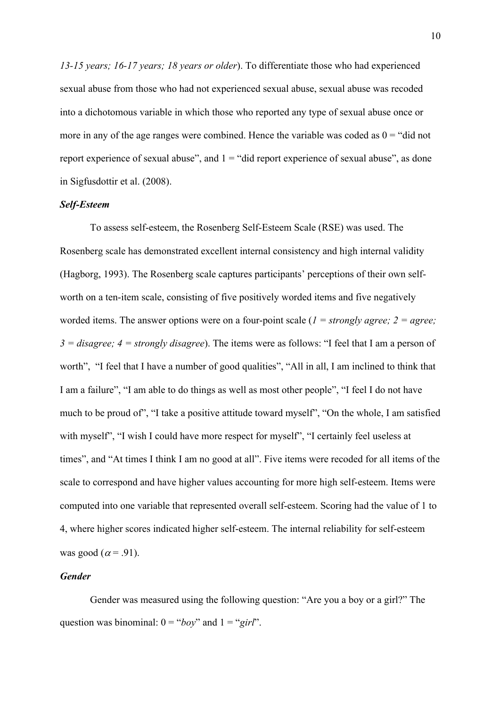*13-15 years; 16-17 years; 18 years or older*). To differentiate those who had experienced sexual abuse from those who had not experienced sexual abuse, sexual abuse was recoded into a dichotomous variable in which those who reported any type of sexual abuse once or more in any of the age ranges were combined. Hence the variable was coded as  $0 =$  "did not" report experience of sexual abuse", and  $1 =$  "did report experience of sexual abuse", as done in Sigfusdottir et al. (2008).

#### *Self-Esteem*

To assess self-esteem, the Rosenberg Self-Esteem Scale (RSE) was used. The Rosenberg scale has demonstrated excellent internal consistency and high internal validity (Hagborg, 1993). The Rosenberg scale captures participants' perceptions of their own selfworth on a ten-item scale, consisting of five positively worded items and five negatively worded items. The answer options were on a four-point scale (*1 = strongly agree; 2 = agree; 3 = disagree; 4 = strongly disagree*). The items were as follows: "I feel that I am a person of worth", "I feel that I have a number of good qualities", "All in all, I am inclined to think that I am a failure", "I am able to do things as well as most other people", "I feel I do not have much to be proud of", "I take a positive attitude toward myself", "On the whole, I am satisfied with myself", "I wish I could have more respect for myself", "I certainly feel useless at times", and "At times I think I am no good at all". Five items were recoded for all items of the scale to correspond and have higher values accounting for more high self-esteem. Items were computed into one variable that represented overall self-esteem. Scoring had the value of 1 to 4, where higher scores indicated higher self-esteem. The internal reliability for self-esteem was good ( $\alpha$  = .91).

## *Gender*

Gender was measured using the following question: "Are you a boy or a girl?" The question was binominal:  $0 = "boy"$  and  $1 = "girl".$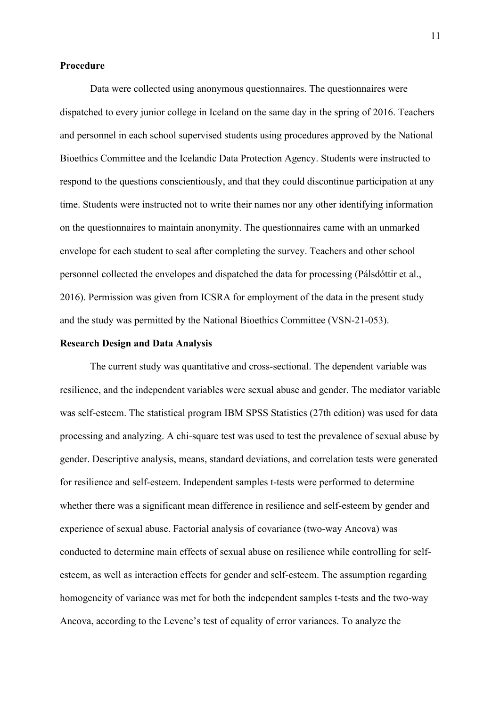#### **Procedure**

Data were collected using anonymous questionnaires. The questionnaires were dispatched to every junior college in Iceland on the same day in the spring of 2016. Teachers and personnel in each school supervised students using procedures approved by the National Bioethics Committee and the Icelandic Data Protection Agency. Students were instructed to respond to the questions conscientiously, and that they could discontinue participation at any time. Students were instructed not to write their names nor any other identifying information on the questionnaires to maintain anonymity. The questionnaires came with an unmarked envelope for each student to seal after completing the survey. Teachers and other school personnel collected the envelopes and dispatched the data for processing (Pálsdóttir et al., 2016). Permission was given from ICSRA for employment of the data in the present study and the study was permitted by the National Bioethics Committee (VSN-21-053).

## **Research Design and Data Analysis**

The current study was quantitative and cross-sectional. The dependent variable was resilience, and the independent variables were sexual abuse and gender. The mediator variable was self-esteem. The statistical program IBM SPSS Statistics (27th edition) was used for data processing and analyzing. A chi-square test was used to test the prevalence of sexual abuse by gender. Descriptive analysis, means, standard deviations, and correlation tests were generated for resilience and self-esteem. Independent samples t-tests were performed to determine whether there was a significant mean difference in resilience and self-esteem by gender and experience of sexual abuse. Factorial analysis of covariance (two-way Ancova) was conducted to determine main effects of sexual abuse on resilience while controlling for selfesteem, as well as interaction effects for gender and self-esteem. The assumption regarding homogeneity of variance was met for both the independent samples t-tests and the two-way Ancova, according to the Levene's test of equality of error variances. To analyze the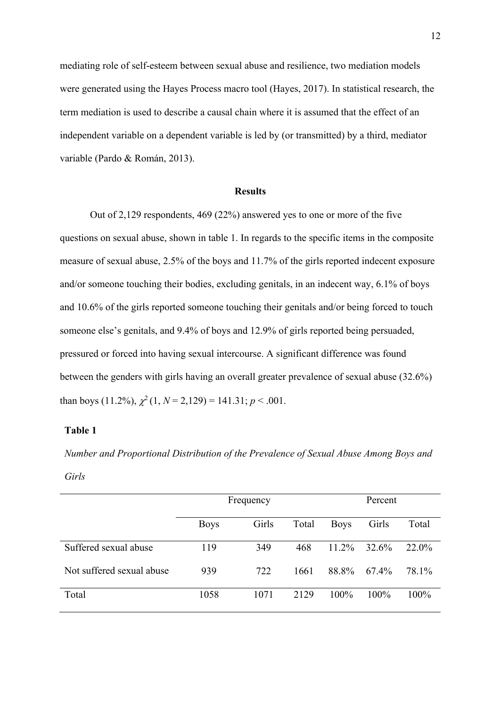mediating role of self-esteem between sexual abuse and resilience, two mediation models were generated using the Hayes Process macro tool (Hayes, 2017). In statistical research, the term mediation is used to describe a causal chain where it is assumed that the effect of an independent variable on a dependent variable is led by (or transmitted) by a third, mediator variable (Pardo & Román, 2013).

#### **Results**

Out of 2,129 respondents, 469 (22%) answered yes to one or more of the five questions on sexual abuse, shown in table 1. In regards to the specific items in the composite measure of sexual abuse, 2.5% of the boys and 11.7% of the girls reported indecent exposure and/or someone touching their bodies, excluding genitals, in an indecent way, 6.1% of boys and 10.6% of the girls reported someone touching their genitals and/or being forced to touch someone else's genitals, and 9.4% of boys and 12.9% of girls reported being persuaded, pressured or forced into having sexual intercourse. A significant difference was found between the genders with girls having an overall greater prevalence of sexual abuse (32.6%) than boys (11.2%),  $\chi^2$  (1, *N* = 2,129) = 141.31; *p* < .001.

## **Table 1**

*Number and Proportional Distribution of the Prevalence of Sexual Abuse Among Boys and Girls*

|                           | Frequency   |       |       | Percent     |         |          |
|---------------------------|-------------|-------|-------|-------------|---------|----------|
|                           | <b>Boys</b> | Girls | Total | <b>Boys</b> | Girls   | Total    |
| Suffered sexual abuse     | 119         | 349   | 468   | $11.2\%$    | 32.6%   | $22.0\%$ |
| Not suffered sexual abuse | 939         | 722   | 1661  | 88.8%       | 67.4%   | 78.1%    |
| Total                     | 1058        | 1071  | 2129  | $100\%$     | $100\%$ | $100\%$  |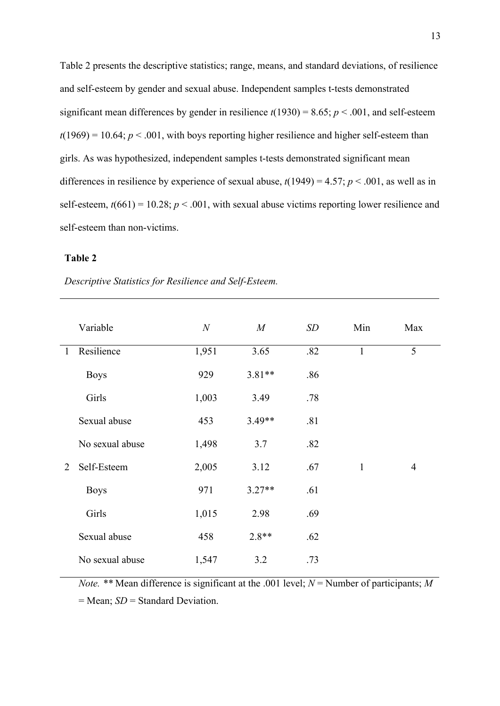Table 2 presents the descriptive statistics; range, means, and standard deviations, of resilience and self-esteem by gender and sexual abuse. Independent samples t-tests demonstrated significant mean differences by gender in resilience  $t(1930) = 8.65$ ;  $p < .001$ , and self-esteem  $t(1969) = 10.64$ ;  $p < .001$ , with boys reporting higher resilience and higher self-esteem than girls. As was hypothesized, independent samples t-tests demonstrated significant mean differences in resilience by experience of sexual abuse,  $t(1949) = 4.57$ ;  $p < .001$ , as well as in self-esteem,  $t(661) = 10.28$ ;  $p < .001$ , with sexual abuse victims reporting lower resilience and self-esteem than non-victims.

## **Table 2**

*Descriptive Statistics for Resilience and Self-Esteem.*

|              | Variable        | $\boldsymbol{N}$ | M        | SD  | Min          | Max            |
|--------------|-----------------|------------------|----------|-----|--------------|----------------|
| $\mathbf{1}$ | Resilience      | 1,951            | 3.65     | .82 | $\mathbf{1}$ | 5              |
|              | <b>Boys</b>     | 929              | $3.81**$ | .86 |              |                |
|              | Girls           | 1,003            | 3.49     | .78 |              |                |
|              | Sexual abuse    | 453              | $3.49**$ | .81 |              |                |
|              | No sexual abuse | 1,498            | 3.7      | .82 |              |                |
| 2            | Self-Esteem     | 2,005            | 3.12     | .67 | $\mathbf{1}$ | $\overline{4}$ |
|              | <b>Boys</b>     | 971              | $3.27**$ | .61 |              |                |
|              | Girls           | 1,015            | 2.98     | .69 |              |                |
|              | Sexual abuse    | 458              | $2.8**$  | .62 |              |                |
|              | No sexual abuse | 1,547            | 3.2      | .73 |              |                |

*Note.* \*\* Mean difference is significant at the .001 level;  $N =$  Number of participants; M

= Mean; *SD* = Standard Deviation.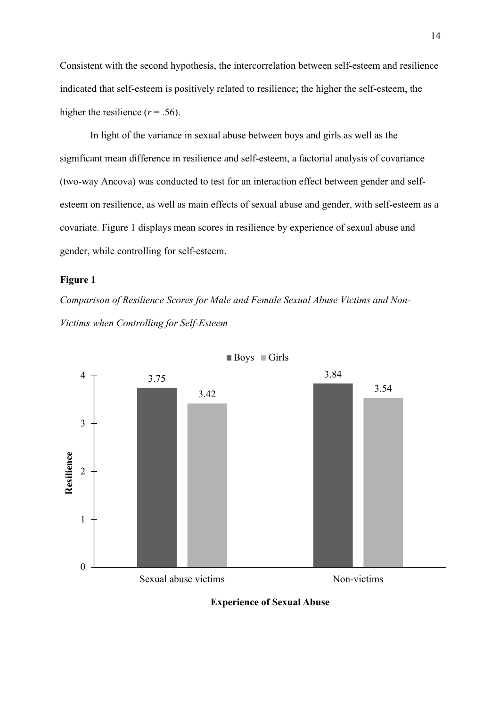Consistent with the second hypothesis, the intercorrelation between self-esteem and resilience indicated that self-esteem is positively related to resilience; the higher the self-esteem, the higher the resilience  $(r = .56)$ .

In light of the variance in sexual abuse between boys and girls as well as the significant mean difference in resilience and self-esteem, a factorial analysis of covariance (two-way Ancova) was conducted to test for an interaction effect between gender and selfesteem on resilience, as well as main effects of sexual abuse and gender, with self-esteem as a covariate. Figure 1 displays mean scores in resilience by experience of sexual abuse and gender, while controlling for self-esteem.

## **Figure 1**

*Comparison of Resilience Scores for Male and Female Sexual Abuse Victims and Non-Victims when Controlling for Self-Esteem*



Boys Girls

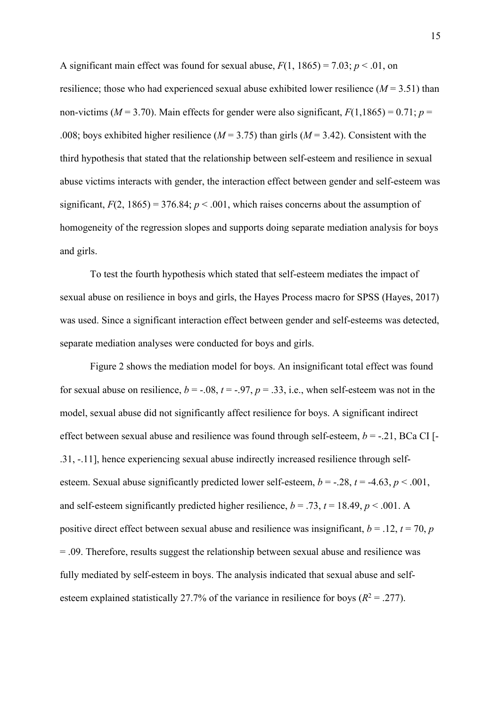A significant main effect was found for sexual abuse,  $F(1, 1865) = 7.03$ ;  $p < .01$ , on resilience; those who had experienced sexual abuse exhibited lower resilience  $(M = 3.51)$  than non-victims ( $M = 3.70$ ). Main effects for gender were also significant,  $F(1,1865) = 0.71$ ;  $p =$ .008; boys exhibited higher resilience  $(M = 3.75)$  than girls  $(M = 3.42)$ . Consistent with the third hypothesis that stated that the relationship between self-esteem and resilience in sexual abuse victims interacts with gender, the interaction effect between gender and self-esteem was significant,  $F(2, 1865) = 376.84$ ;  $p < .001$ , which raises concerns about the assumption of homogeneity of the regression slopes and supports doing separate mediation analysis for boys and girls.

To test the fourth hypothesis which stated that self-esteem mediates the impact of sexual abuse on resilience in boys and girls, the Hayes Process macro for SPSS (Hayes, 2017) was used. Since a significant interaction effect between gender and self-esteems was detected, separate mediation analyses were conducted for boys and girls.

Figure 2 shows the mediation model for boys. An insignificant total effect was found for sexual abuse on resilience,  $b = -.08$ ,  $t = -.97$ ,  $p = .33$ , i.e., when self-esteem was not in the model, sexual abuse did not significantly affect resilience for boys. A significant indirect effect between sexual abuse and resilience was found through self-esteem,  $b = -0.21$ , BCa CI [-.31, -.11], hence experiencing sexual abuse indirectly increased resilience through selfesteem. Sexual abuse significantly predicted lower self-esteem,  $b = -28$ ,  $t = -4.63$ ,  $p < .001$ , and self-esteem significantly predicted higher resilience,  $b = .73$ ,  $t = 18.49$ ,  $p < .001$ . A positive direct effect between sexual abuse and resilience was insignificant,  $b = .12$ ,  $t = 70$ ,  $p = .12$ = .09. Therefore, results suggest the relationship between sexual abuse and resilience was fully mediated by self-esteem in boys. The analysis indicated that sexual abuse and selfesteem explained statistically 27.7% of the variance in resilience for boys  $(R^2 = .277)$ .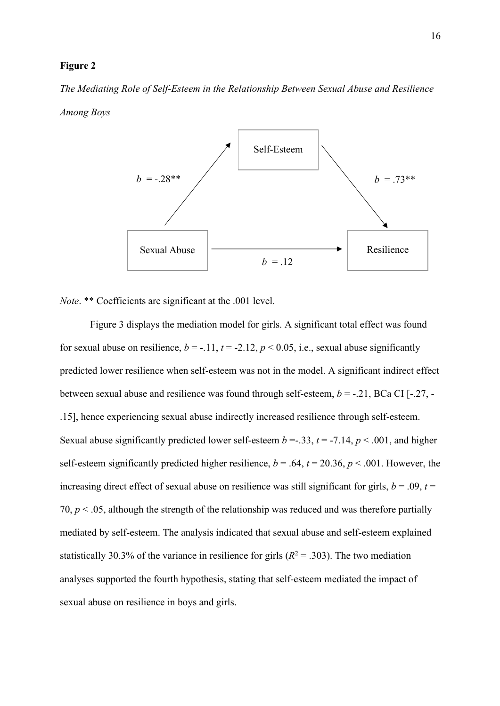#### **Figure 2**

*The Mediating Role of Self-Esteem in the Relationship Between Sexual Abuse and Resilience Among Boys*



*Note*. \*\* Coefficients are significant at the .001 level.

Figure 3 displays the mediation model for girls. A significant total effect was found for sexual abuse on resilience,  $b = -11$ ,  $t = -2.12$ ,  $p < 0.05$ , i.e., sexual abuse significantly predicted lower resilience when self-esteem was not in the model. A significant indirect effect between sexual abuse and resilience was found through self-esteem, *b* = -.21, BCa CI [-.27, - .15], hence experiencing sexual abuse indirectly increased resilience through self-esteem. Sexual abuse significantly predicted lower self-esteem  $b = -0.33$ ,  $t = -7.14$ ,  $p < .001$ , and higher self-esteem significantly predicted higher resilience,  $b = .64$ ,  $t = 20.36$ ,  $p < .001$ . However, the increasing direct effect of sexual abuse on resilience was still significant for girls,  $b = .09$ ,  $t =$ 70,  $p < .05$ , although the strength of the relationship was reduced and was therefore partially mediated by self-esteem. The analysis indicated that sexual abuse and self-esteem explained statistically 30.3% of the variance in resilience for girls  $(R^2 = .303)$ . The two mediation analyses supported the fourth hypothesis, stating that self-esteem mediated the impact of sexual abuse on resilience in boys and girls.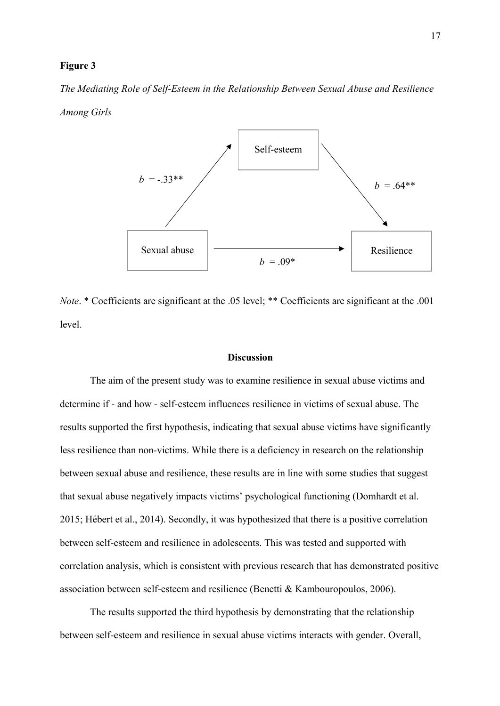#### **Figure 3**

*The Mediating Role of Self-Esteem in the Relationship Between Sexual Abuse and Resilience Among Girls*



*Note*. \* Coefficients are significant at the .05 level; \*\* Coefficients are significant at the .001 level.

#### **Discussion**

The aim of the present study was to examine resilience in sexual abuse victims and determine if - and how - self-esteem influences resilience in victims of sexual abuse. The results supported the first hypothesis, indicating that sexual abuse victims have significantly less resilience than non-victims. While there is a deficiency in research on the relationship between sexual abuse and resilience, these results are in line with some studies that suggest that sexual abuse negatively impacts victims' psychological functioning (Domhardt et al. 2015; Hébert et al., 2014). Secondly, it was hypothesized that there is a positive correlation between self-esteem and resilience in adolescents. This was tested and supported with correlation analysis, which is consistent with previous research that has demonstrated positive association between self-esteem and resilience (Benetti & Kambouropoulos, 2006).

The results supported the third hypothesis by demonstrating that the relationship between self-esteem and resilience in sexual abuse victims interacts with gender. Overall,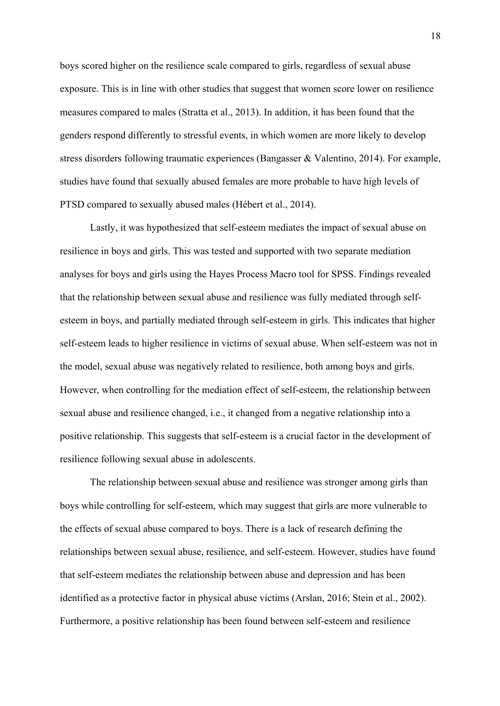boys scored higher on the resilience scale compared to girls, regardless of sexual abuse exposure. This is in line with other studies that suggest that women score lower on resilience measures compared to males (Stratta et al., 2013). In addition, it has been found that the genders respond differently to stressful events, in which women are more likely to develop stress disorders following traumatic experiences (Bangasser & Valentino, 2014). For example, studies have found that sexually abused females are more probable to have high levels of PTSD compared to sexually abused males (Hébert et al., 2014).

Lastly, it was hypothesized that self-esteem mediates the impact of sexual abuse on resilience in boys and girls. This was tested and supported with two separate mediation analyses for boys and girls using the Hayes Process Macro tool for SPSS. Findings revealed that the relationship between sexual abuse and resilience was fully mediated through selfesteem in boys, and partially mediated through self-esteem in girls. This indicates that higher self-esteem leads to higher resilience in victims of sexual abuse. When self-esteem was not in the model, sexual abuse was negatively related to resilience, both among boys and girls. However, when controlling for the mediation effect of self-esteem, the relationship between sexual abuse and resilience changed, i.e., it changed from a negative relationship into a positive relationship. This suggests that self-esteem is a crucial factor in the development of resilience following sexual abuse in adolescents.

The relationship between sexual abuse and resilience was stronger among girls than boys while controlling for self-esteem, which may suggest that girls are more vulnerable to the effects of sexual abuse compared to boys. There is a lack of research defining the relationships between sexual abuse, resilience, and self-esteem. However, studies have found that self-esteem mediates the relationship between abuse and depression and has been identified as a protective factor in physical abuse victims (Arslan, 2016; Stein et al., 2002). Furthermore, a positive relationship has been found between self-esteem and resilience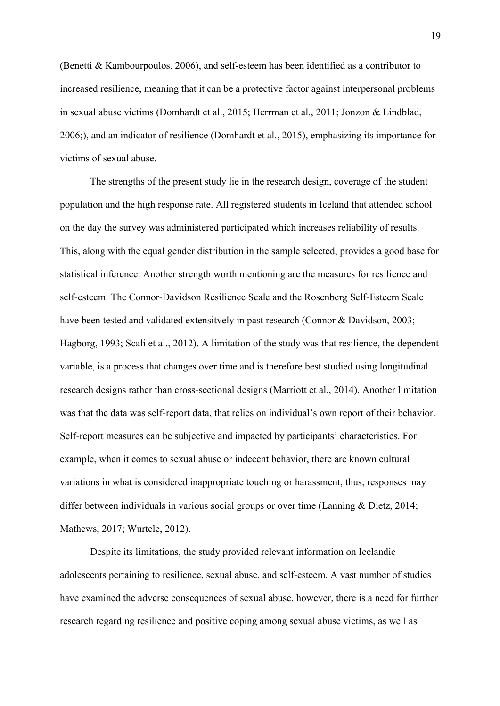(Benetti & Kambourpoulos, 2006), and self-esteem has been identified as a contributor to increased resilience, meaning that it can be a protective factor against interpersonal problems in sexual abuse victims (Domhardt et al., 2015; Herrman et al., 2011; Jonzon & Lindblad, 2006;), and an indicator of resilience (Domhardt et al., 2015), emphasizing its importance for victims of sexual abuse.

The strengths of the present study lie in the research design, coverage of the student population and the high response rate. All registered students in Iceland that attended school on the day the survey was administered participated which increases reliability of results. This, along with the equal gender distribution in the sample selected, provides a good base for statistical inference. Another strength worth mentioning are the measures for resilience and self-esteem. The Connor-Davidson Resilience Scale and the Rosenberg Self-Esteem Scale have been tested and validated extensitvely in past research (Connor & Davidson, 2003; Hagborg, 1993; Scali et al., 2012). A limitation of the study was that resilience, the dependent variable, is a process that changes over time and is therefore best studied using longitudinal research designs rather than cross-sectional designs (Marriott et al., 2014). Another limitation was that the data was self-report data, that relies on individual's own report of their behavior. Self-report measures can be subjective and impacted by participants' characteristics. For example, when it comes to sexual abuse or indecent behavior, there are known cultural variations in what is considered inappropriate touching or harassment, thus, responses may differ between individuals in various social groups or over time (Lanning & Dietz, 2014; Mathews, 2017; Wurtele, 2012).

Despite its limitations, the study provided relevant information on Icelandic adolescents pertaining to resilience, sexual abuse, and self-esteem. A vast number of studies have examined the adverse consequences of sexual abuse, however, there is a need for further research regarding resilience and positive coping among sexual abuse victims, as well as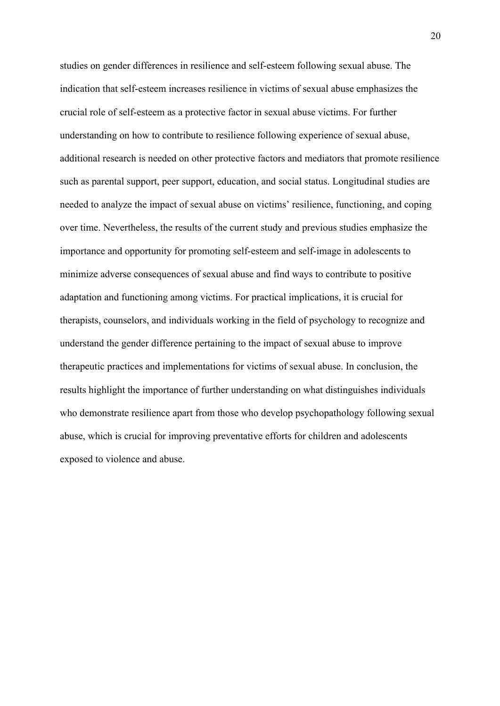studies on gender differences in resilience and self-esteem following sexual abuse. The indication that self-esteem increases resilience in victims of sexual abuse emphasizes the crucial role of self-esteem as a protective factor in sexual abuse victims. For further understanding on how to contribute to resilience following experience of sexual abuse, additional research is needed on other protective factors and mediators that promote resilience such as parental support, peer support, education, and social status. Longitudinal studies are needed to analyze the impact of sexual abuse on victims' resilience, functioning, and coping over time. Nevertheless, the results of the current study and previous studies emphasize the importance and opportunity for promoting self-esteem and self-image in adolescents to minimize adverse consequences of sexual abuse and find ways to contribute to positive adaptation and functioning among victims. For practical implications, it is crucial for therapists, counselors, and individuals working in the field of psychology to recognize and understand the gender difference pertaining to the impact of sexual abuse to improve therapeutic practices and implementations for victims of sexual abuse. In conclusion, the results highlight the importance of further understanding on what distinguishes individuals who demonstrate resilience apart from those who develop psychopathology following sexual abuse, which is crucial for improving preventative efforts for children and adolescents exposed to violence and abuse.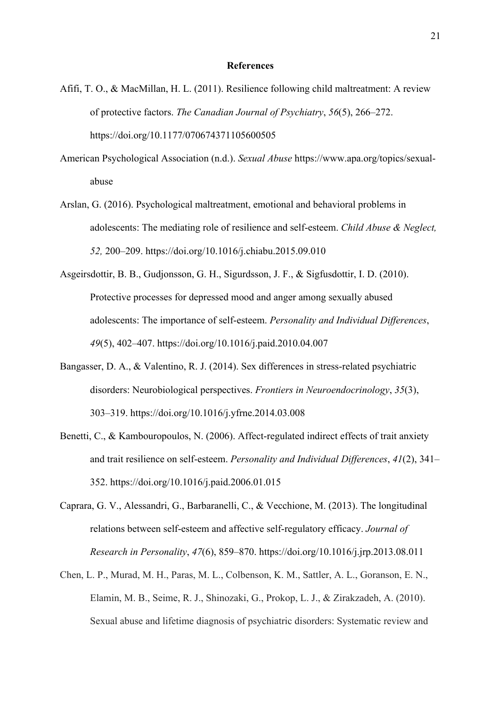#### **References**

- Afifi, T. O., & MacMillan, H. L. (2011). Resilience following child maltreatment: A review of protective factors. *The Canadian Journal of Psychiatry*, *56*(5), 266–272. https://doi.org/10.1177/070674371105600505
- American Psychological Association (n.d.). *Sexual Abuse* https://www.apa.org/topics/sexualabuse
- Arslan, G. (2016). Psychological maltreatment, emotional and behavioral problems in adolescents: The mediating role of resilience and self-esteem. *Child Abuse & Neglect, 52,* 200–209. https://doi.org/10.1016/j.chiabu.2015.09.010
- Asgeirsdottir, B. B., Gudjonsson, G. H., Sigurdsson, J. F., & Sigfusdottir, I. D. (2010). Protective processes for depressed mood and anger among sexually abused adolescents: The importance of self-esteem. *Personality and Individual Differences*, *49*(5), 402–407. https://doi.org/10.1016/j.paid.2010.04.007
- Bangasser, D. A., & Valentino, R. J. (2014). Sex differences in stress-related psychiatric disorders: Neurobiological perspectives. *Frontiers in Neuroendocrinology*, *35*(3), 303–319. https://doi.org/10.1016/j.yfrne.2014.03.008
- Benetti, C., & Kambouropoulos, N. (2006). Affect-regulated indirect effects of trait anxiety and trait resilience on self-esteem. *Personality and Individual Differences*, *41*(2), 341– 352. https://doi.org/10.1016/j.paid.2006.01.015
- Caprara, G. V., Alessandri, G., Barbaranelli, C., & Vecchione, M. (2013). The longitudinal relations between self-esteem and affective self-regulatory efficacy. *Journal of Research in Personality*, *47*(6), 859–870. https://doi.org/10.1016/j.jrp.2013.08.011
- Chen, L. P., Murad, M. H., Paras, M. L., Colbenson, K. M., Sattler, A. L., Goranson, E. N., Elamin, M. B., Seime, R. J., Shinozaki, G., Prokop, L. J., & Zirakzadeh, A. (2010). Sexual abuse and lifetime diagnosis of psychiatric disorders: Systematic review and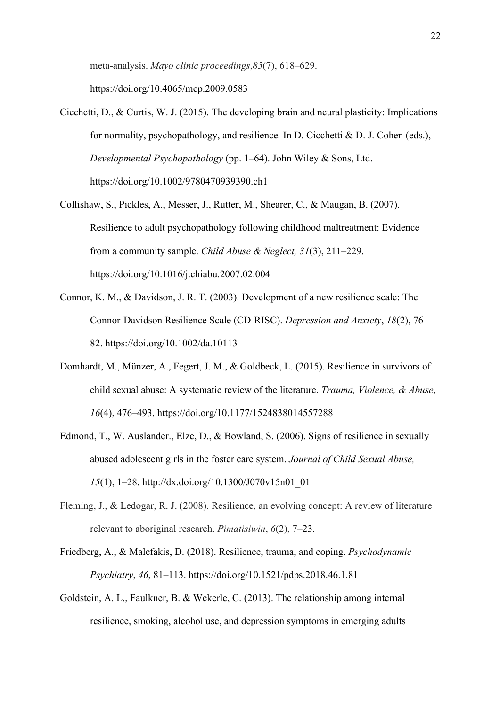meta-analysis. *Mayo clinic proceedings*,*85*(7), 618–629.

https://doi.org/10.4065/mcp.2009.0583

- Cicchetti, D., & Curtis, W. J. (2015). The developing brain and neural plasticity: Implications for normality, psychopathology, and resilience*.* In D. Cicchetti & D. J. Cohen (eds.), *Developmental Psychopathology* (pp. 1–64). John Wiley & Sons, Ltd. https://doi.org/10.1002/9780470939390.ch1
- Collishaw, S., Pickles, A., Messer, J., Rutter, M., Shearer, C., & Maugan, B. (2007). Resilience to adult psychopathology following childhood maltreatment: Evidence from a community sample. *Child Abuse & Neglect, 31*(3), 211–229. https://doi.org/10.1016/j.chiabu.2007.02.004
- Connor, K. M., & Davidson, J. R. T. (2003). Development of a new resilience scale: The Connor-Davidson Resilience Scale (CD-RISC). *Depression and Anxiety*, *18*(2), 76– 82. https://doi.org/10.1002/da.10113
- Domhardt, M., Münzer, A., Fegert, J. M., & Goldbeck, L. (2015). Resilience in survivors of child sexual abuse: A systematic review of the literature. *Trauma, Violence, & Abuse*, *16*(4), 476–493. https://doi.org/10.1177/1524838014557288
- Edmond, T., W. Auslander., Elze, D., & Bowland, S. (2006). Signs of resilience in sexually abused adolescent girls in the foster care system. *Journal of Child Sexual Abuse, 15*(1), 1–28. http://dx.doi.org/10.1300/J070v15n01\_01
- Fleming, J., & Ledogar, R. J. (2008). Resilience, an evolving concept: A review of literature relevant to aboriginal research. *Pimatisiwin*, *6*(2), 7–23.
- Friedberg, A., & Malefakis, D. (2018). Resilience, trauma, and coping. *Psychodynamic Psychiatry*, *46*, 81–113. https://doi.org/10.1521/pdps.2018.46.1.81
- Goldstein, A. L., Faulkner, B. & Wekerle, C. (2013). The relationship among internal resilience, smoking, alcohol use, and depression symptoms in emerging adults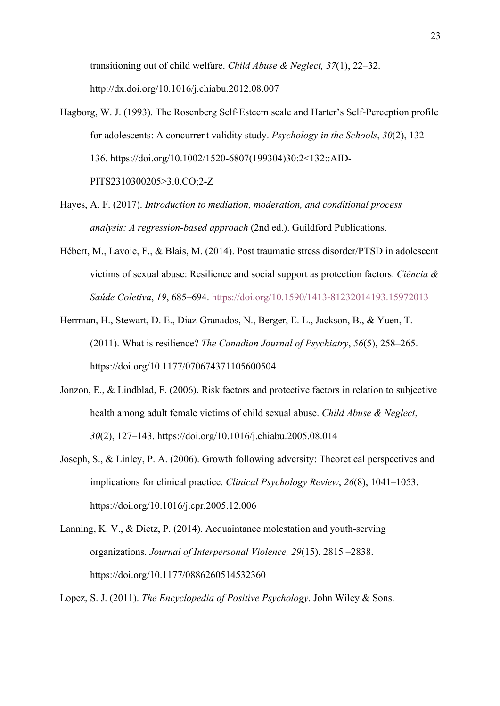transitioning out of child welfare. *Child Abuse & Neglect, 37*(1), 22–32. http://dx.doi.org/10.1016/j.chiabu.2012.08.007

- Hagborg, W. J. (1993). The Rosenberg Self-Esteem scale and Harter's Self-Perception profile for adolescents: A concurrent validity study. *Psychology in the Schools*, *30*(2), 132– 136. https://doi.org/10.1002/1520-6807(199304)30:2<132::AID-PITS2310300205>3.0.CO;2-Z
- Hayes, A. F. (2017). *Introduction to mediation, moderation, and conditional process analysis: A regression-based approach* (2nd ed.). Guildford Publications.
- Hébert, M., Lavoie, F., & Blais, M. (2014). Post traumatic stress disorder/PTSD in adolescent victims of sexual abuse: Resilience and social support as protection factors. *Ciência & Saúde Coletiva*, *19*, 685–694. https://doi.org/10.1590/1413-81232014193.15972013
- Herrman, H., Stewart, D. E., Diaz-Granados, N., Berger, E. L., Jackson, B., & Yuen, T. (2011). What is resilience? *The Canadian Journal of Psychiatry*, *56*(5), 258–265. https://doi.org/10.1177/070674371105600504
- Jonzon, E., & Lindblad, F. (2006). Risk factors and protective factors in relation to subjective health among adult female victims of child sexual abuse. *Child Abuse & Neglect*, *30*(2), 127–143. https://doi.org/10.1016/j.chiabu.2005.08.014
- Joseph, S., & Linley, P. A. (2006). Growth following adversity: Theoretical perspectives and implications for clinical practice. *Clinical Psychology Review*, *26*(8), 1041–1053. https://doi.org/10.1016/j.cpr.2005.12.006
- Lanning, K. V., & Dietz, P. (2014). Acquaintance molestation and youth-serving organizations. *Journal of Interpersonal Violence, 29*(15), 2815 –2838. https://doi.org/10.1177/0886260514532360

Lopez, S. J. (2011). *The Encyclopedia of Positive Psychology*. John Wiley & Sons.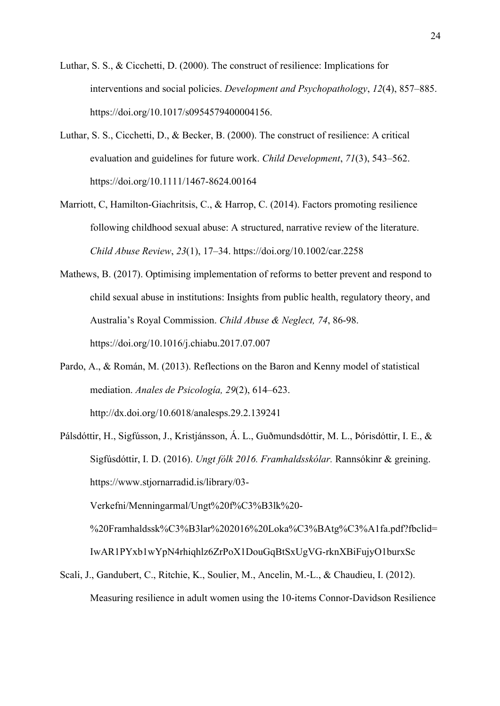- Luthar, S. S., & Cicchetti, D. (2000). The construct of resilience: Implications for interventions and social policies. *Development and Psychopathology*, *12*(4), 857–885. https://doi.org/10.1017/s0954579400004156.
- Luthar, S. S., Cicchetti, D., & Becker, B. (2000). The construct of resilience: A critical evaluation and guidelines for future work. *Child Development*, *71*(3), 543–562. https://doi.org/10.1111/1467-8624.00164
- Marriott, C, Hamilton-Giachritsis, C., & Harrop, C. (2014). Factors promoting resilience following childhood sexual abuse: A structured, narrative review of the literature. *Child Abuse Review*, *23*(1), 17–34. https://doi.org/10.1002/car.2258
- Mathews, B. (2017). Optimising implementation of reforms to better prevent and respond to child sexual abuse in institutions: Insights from public health, regulatory theory, and Australia's Royal Commission. *Child Abuse & Neglect, 74*, 86-98. https://doi.org/10.1016/j.chiabu.2017.07.007
- Pardo, A., & Román, M. (2013). Reflections on the Baron and Kenny model of statistical mediation. *Anales de Psicología, 29*(2), 614–623. http://dx.doi.org/10.6018/analesps.29.2.139241
- Pálsdóttir, H., Sigfússon, J., Kristjánsson, Á. L., Guðmundsdóttir, M. L., Þórisdóttir, I. E., & Sigfúsdóttir, I. D. (2016). *Ungt fólk 2016. Framhaldsskólar.* Rannsókinr & greining. https://www.stjornarradid.is/library/03- Verkefni/Menningarmal/Ungt%20f%C3%B3lk%20- %20Framhaldssk%C3%B3lar%202016%20Loka%C3%BAtg%C3%A1fa.pdf?fbclid=

IwAR1PYxb1wYpN4rhiqhlz6ZrPoX1DouGqBtSxUgVG-rknXBiFujyO1burxSc

Scali, J., Gandubert, C., Ritchie, K., Soulier, M., Ancelin, M.-L., & Chaudieu, I. (2012). Measuring resilience in adult women using the 10-items Connor-Davidson Resilience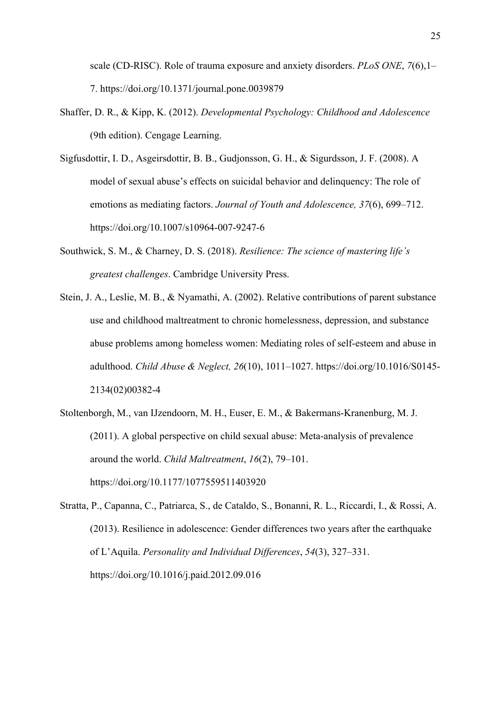scale (CD-RISC). Role of trauma exposure and anxiety disorders. *PLoS ONE*, *7*(6),1– 7. https://doi.org/10.1371/journal.pone.0039879

- Shaffer, D. R., & Kipp, K. (2012). *Developmental Psychology: Childhood and Adolescence*  (9th edition). Cengage Learning.
- Sigfusdottir, I. D., Asgeirsdottir, B. B., Gudjonsson, G. H., & Sigurdsson, J. F. (2008). A model of sexual abuse's effects on suicidal behavior and delinquency: The role of emotions as mediating factors. *Journal of Youth and Adolescence, 37*(6), 699–712. https://doi.org/10.1007/s10964-007-9247-6
- Southwick, S. M., & Charney, D. S. (2018). *Resilience: The science of mastering life's greatest challenges*. Cambridge University Press.
- Stein, J. A., Leslie, M. B., & Nyamathi, A. (2002). Relative contributions of parent substance use and childhood maltreatment to chronic homelessness, depression, and substance abuse problems among homeless women: Mediating roles of self-esteem and abuse in adulthood. *Child Abuse & Neglect, 26*(10), 1011–1027. https://doi.org/10.1016/S0145- 2134(02)00382-4
- Stoltenborgh, M., van IJzendoorn, M. H., Euser, E. M., & Bakermans-Kranenburg, M. J. (2011). A global perspective on child sexual abuse: Meta-analysis of prevalence around the world. *Child Maltreatment*, *16*(2), 79–101. https://doi.org/10.1177/1077559511403920
- Stratta, P., Capanna, C., Patriarca, S., de Cataldo, S., Bonanni, R. L., Riccardi, I., & Rossi, A. (2013). Resilience in adolescence: Gender differences two years after the earthquake of L'Aquila. *Personality and Individual Differences*, *54*(3), 327–331. https://doi.org/10.1016/j.paid.2012.09.016